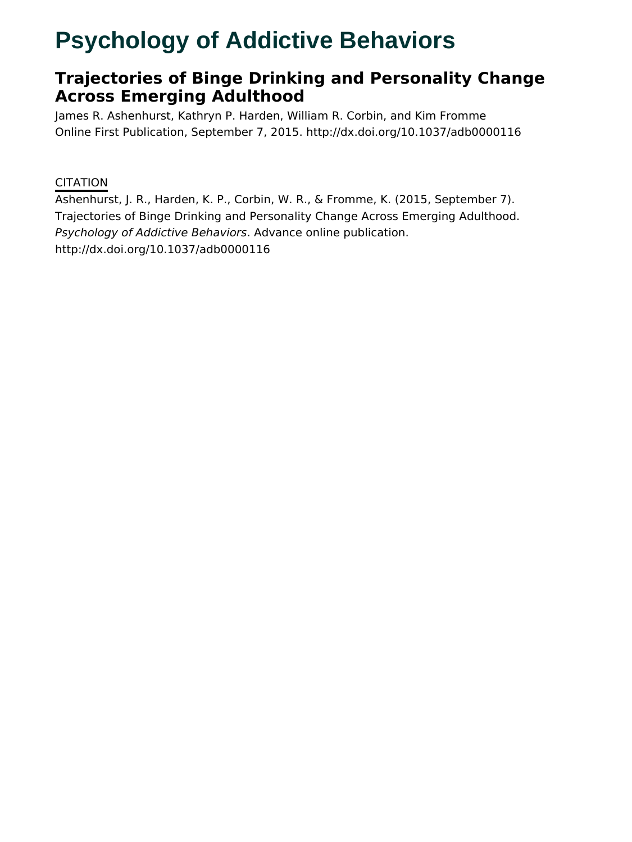# **Psychology of Addictive Behaviors**

# **Trajectories of Binge Drinking and Personality Change Across Emerging Adulthood**

James R. Ashenhurst, Kathryn P. Harden, William R. Corbin, and Kim Fromme Online First Publication, September 7, 2015. http://dx.doi.org/10.1037/adb0000116

# **CITATION**

Ashenhurst, J. R., Harden, K. P., Corbin, W. R., & Fromme, K. (2015, September 7). Trajectories of Binge Drinking and Personality Change Across Emerging Adulthood. Psychology of Addictive Behaviors. Advance online publication. http://dx.doi.org/10.1037/adb0000116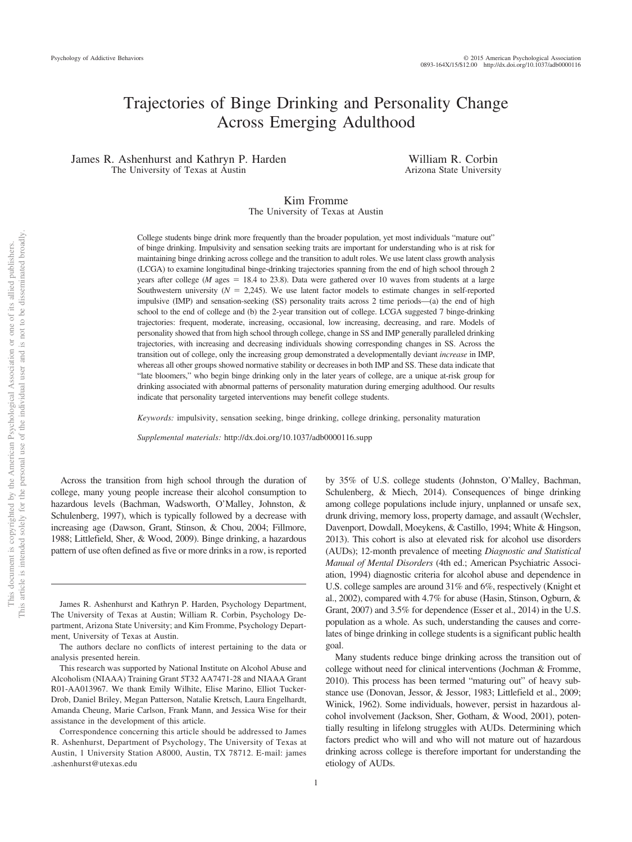# Trajectories of Binge Drinking and Personality Change Across Emerging Adulthood

James R. Ashenhurst and Kathryn P. Harden The University of Texas at Austin

William R. Corbin Arizona State University

#### Kim Fromme The University of Texas at Austin

College students binge drink more frequently than the broader population, yet most individuals "mature out" of binge drinking. Impulsivity and sensation seeking traits are important for understanding who is at risk for maintaining binge drinking across college and the transition to adult roles. We use latent class growth analysis (LCGA) to examine longitudinal binge-drinking trajectories spanning from the end of high school through 2 years after college (*M* ages = 18.4 to 23.8). Data were gathered over 10 waves from students at a large Southwestern university  $(N = 2,245)$ . We use latent factor models to estimate changes in self-reported impulsive (IMP) and sensation-seeking (SS) personality traits across 2 time periods—(a) the end of high school to the end of college and (b) the 2-year transition out of college. LCGA suggested 7 binge-drinking trajectories: frequent, moderate, increasing, occasional, low increasing, decreasing, and rare. Models of personality showed that from high school through college, change in SS and IMP generally paralleled drinking trajectories, with increasing and decreasing individuals showing corresponding changes in SS. Across the transition out of college, only the increasing group demonstrated a developmentally deviant *increase* in IMP, whereas all other groups showed normative stability or decreases in both IMP and SS. These data indicate that "late bloomers," who begin binge drinking only in the later years of college, are a unique at-risk group for drinking associated with abnormal patterns of personality maturation during emerging adulthood. Our results indicate that personality targeted interventions may benefit college students.

*Keywords:* impulsivity, sensation seeking, binge drinking, college drinking, personality maturation

*Supplemental materials:* http://dx.doi.org/10.1037/adb0000116.supp

Across the transition from high school through the duration of college, many young people increase their alcohol consumption to hazardous levels (Bachman, Wadsworth, O'Malley, Johnston, & Schulenberg, 1997), which is typically followed by a decrease with increasing age (Dawson, Grant, Stinson, & Chou, 2004; Fillmore, 1988; Littlefield, Sher, & Wood, 2009). Binge drinking, a hazardous pattern of use often defined as five or more drinks in a row, is reported

This document is copyrighted by the American Psychological Association or one of its allied publishers.

 $\rm \tilde{o}$  $\widetilde{\Xi}$ 

not to be disseminated broadly one of its allied publishers.

> by 35% of U.S. college students (Johnston, O'Malley, Bachman, Schulenberg, & Miech, 2014). Consequences of binge drinking among college populations include injury, unplanned or unsafe sex, drunk driving, memory loss, property damage, and assault (Wechsler, Davenport, Dowdall, Moeykens, & Castillo, 1994; White & Hingson, 2013). This cohort is also at elevated risk for alcohol use disorders (AUDs); 12-month prevalence of meeting *Diagnostic and Statistical Manual of Mental Disorders* (4th ed.; American Psychiatric Association, 1994) diagnostic criteria for alcohol abuse and dependence in U.S. college samples are around 31% and 6%, respectively (Knight et al., 2002), compared with 4.7% for abuse (Hasin, Stinson, Ogburn, & Grant, 2007) and 3.5% for dependence (Esser et al., 2014) in the U.S. population as a whole. As such, understanding the causes and correlates of binge drinking in college students is a significant public health goal.

> Many students reduce binge drinking across the transition out of college without need for clinical interventions (Jochman & Fromme, 2010). This process has been termed "maturing out" of heavy substance use (Donovan, Jessor, & Jessor, 1983; Littlefield et al., 2009; Winick, 1962). Some individuals, however, persist in hazardous alcohol involvement (Jackson, Sher, Gotham, & Wood, 2001), potentially resulting in lifelong struggles with AUDs. Determining which factors predict who will and who will not mature out of hazardous drinking across college is therefore important for understanding the etiology of AUDs.

James R. Ashenhurst and Kathryn P. Harden, Psychology Department, The University of Texas at Austin; William R. Corbin, Psychology Department, Arizona State University; and Kim Fromme, Psychology Department, University of Texas at Austin.

The authors declare no conflicts of interest pertaining to the data or analysis presented herein.

This research was supported by National Institute on Alcohol Abuse and Alcoholism (NIAAA) Training Grant 5T32 AA7471-28 and NIAAA Grant R01-AA013967. We thank Emily Wilhite, Elise Marino, Elliot Tucker-Drob, Daniel Briley, Megan Patterson, Natalie Kretsch, Laura Engelhardt, Amanda Cheung, Marie Carlson, Frank Mann, and Jessica Wise for their assistance in the development of this article.

Correspondence concerning this article should be addressed to James R. Ashenhurst, Department of Psychology, The University of Texas at Austin, 1 University Station A8000, Austin, TX 78712. E-mail: james .ashenhurst@utexas.edu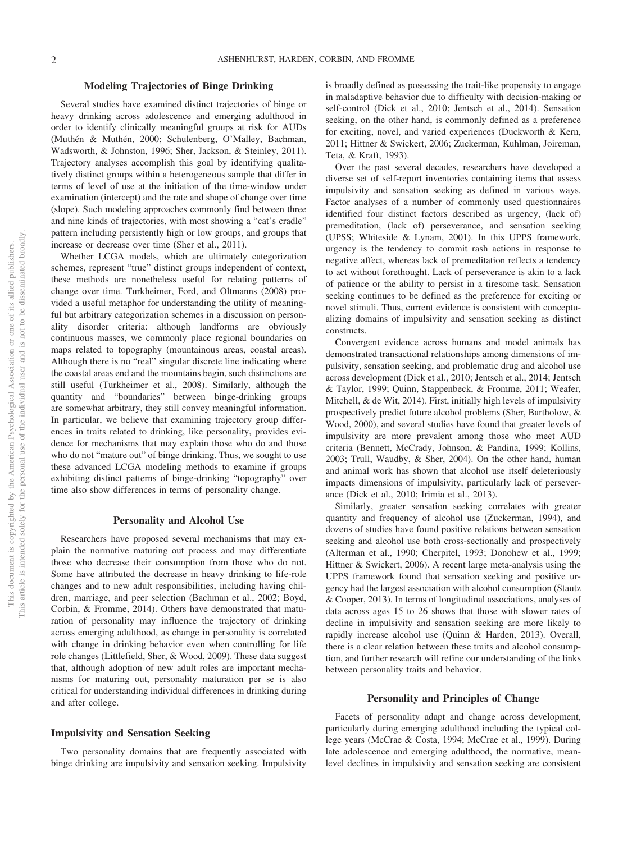#### **Modeling Trajectories of Binge Drinking**

Several studies have examined distinct trajectories of binge or heavy drinking across adolescence and emerging adulthood in order to identify clinically meaningful groups at risk for AUDs (Muthén & Muthén, 2000; Schulenberg, O'Malley, Bachman, Wadsworth, & Johnston, 1996; Sher, Jackson, & Steinley, 2011). Trajectory analyses accomplish this goal by identifying qualitatively distinct groups within a heterogeneous sample that differ in terms of level of use at the initiation of the time-window under examination (intercept) and the rate and shape of change over time (slope). Such modeling approaches commonly find between three and nine kinds of trajectories, with most showing a "cat's cradle" pattern including persistently high or low groups, and groups that increase or decrease over time (Sher et al., 2011).

Whether LCGA models, which are ultimately categorization schemes, represent "true" distinct groups independent of context, these methods are nonetheless useful for relating patterns of change over time. Turkheimer, Ford, and Oltmanns (2008) provided a useful metaphor for understanding the utility of meaningful but arbitrary categorization schemes in a discussion on personality disorder criteria: although landforms are obviously continuous masses, we commonly place regional boundaries on maps related to topography (mountainous areas, coastal areas). Although there is no "real" singular discrete line indicating where the coastal areas end and the mountains begin, such distinctions are still useful (Turkheimer et al., 2008). Similarly, although the quantity and "boundaries" between binge-drinking groups are somewhat arbitrary, they still convey meaningful information. In particular, we believe that examining trajectory group differences in traits related to drinking, like personality, provides evidence for mechanisms that may explain those who do and those who do not "mature out" of binge drinking. Thus, we sought to use these advanced LCGA modeling methods to examine if groups exhibiting distinct patterns of binge-drinking "topography" over time also show differences in terms of personality change.

#### **Personality and Alcohol Use**

Researchers have proposed several mechanisms that may explain the normative maturing out process and may differentiate those who decrease their consumption from those who do not. Some have attributed the decrease in heavy drinking to life-role changes and to new adult responsibilities, including having children, marriage, and peer selection (Bachman et al., 2002; Boyd, Corbin, & Fromme, 2014). Others have demonstrated that maturation of personality may influence the trajectory of drinking across emerging adulthood, as change in personality is correlated with change in drinking behavior even when controlling for life role changes (Littlefield, Sher, & Wood, 2009). These data suggest that, although adoption of new adult roles are important mechanisms for maturing out, personality maturation per se is also critical for understanding individual differences in drinking during and after college.

#### **Impulsivity and Sensation Seeking**

Two personality domains that are frequently associated with binge drinking are impulsivity and sensation seeking. Impulsivity is broadly defined as possessing the trait-like propensity to engage in maladaptive behavior due to difficulty with decision-making or self-control (Dick et al., 2010; Jentsch et al., 2014). Sensation seeking, on the other hand, is commonly defined as a preference for exciting, novel, and varied experiences (Duckworth & Kern, 2011; Hittner & Swickert, 2006; Zuckerman, Kuhlman, Joireman, Teta, & Kraft, 1993).

Over the past several decades, researchers have developed a diverse set of self-report inventories containing items that assess impulsivity and sensation seeking as defined in various ways. Factor analyses of a number of commonly used questionnaires identified four distinct factors described as urgency, (lack of) premeditation, (lack of) perseverance, and sensation seeking (UPSS; Whiteside & Lynam, 2001). In this UPPS framework, urgency is the tendency to commit rash actions in response to negative affect, whereas lack of premeditation reflects a tendency to act without forethought. Lack of perseverance is akin to a lack of patience or the ability to persist in a tiresome task. Sensation seeking continues to be defined as the preference for exciting or novel stimuli. Thus, current evidence is consistent with conceptualizing domains of impulsivity and sensation seeking as distinct constructs.

Convergent evidence across humans and model animals has demonstrated transactional relationships among dimensions of impulsivity, sensation seeking, and problematic drug and alcohol use across development (Dick et al., 2010; Jentsch et al., 2014; Jentsch & Taylor, 1999; Quinn, Stappenbeck, & Fromme, 2011; Weafer, Mitchell, & de Wit, 2014). First, initially high levels of impulsivity prospectively predict future alcohol problems (Sher, Bartholow, & Wood, 2000), and several studies have found that greater levels of impulsivity are more prevalent among those who meet AUD criteria (Bennett, McCrady, Johnson, & Pandina, 1999; Kollins, 2003; Trull, Waudby, & Sher, 2004). On the other hand, human and animal work has shown that alcohol use itself deleteriously impacts dimensions of impulsivity, particularly lack of perseverance (Dick et al., 2010; Irimia et al., 2013).

Similarly, greater sensation seeking correlates with greater quantity and frequency of alcohol use (Zuckerman, 1994), and dozens of studies have found positive relations between sensation seeking and alcohol use both cross-sectionally and prospectively (Alterman et al., 1990; Cherpitel, 1993; Donohew et al., 1999; Hittner & Swickert, 2006). A recent large meta-analysis using the UPPS framework found that sensation seeking and positive urgency had the largest association with alcohol consumption (Stautz & Cooper, 2013). In terms of longitudinal associations, analyses of data across ages 15 to 26 shows that those with slower rates of decline in impulsivity and sensation seeking are more likely to rapidly increase alcohol use (Quinn & Harden, 2013). Overall, there is a clear relation between these traits and alcohol consumption, and further research will refine our understanding of the links between personality traits and behavior.

#### **Personality and Principles of Change**

Facets of personality adapt and change across development, particularly during emerging adulthood including the typical college years (McCrae & Costa, 1994; McCrae et al., 1999). During late adolescence and emerging adulthood, the normative, meanlevel declines in impulsivity and sensation seeking are consistent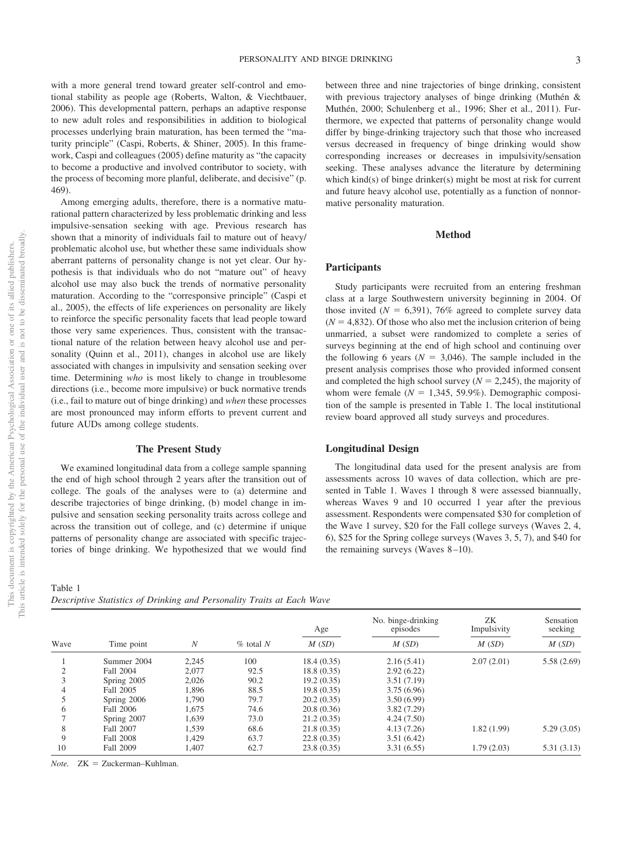with a more general trend toward greater self-control and emotional stability as people age (Roberts, Walton, & Viechtbauer, 2006). This developmental pattern, perhaps an adaptive response to new adult roles and responsibilities in addition to biological processes underlying brain maturation, has been termed the "maturity principle" (Caspi, Roberts, & Shiner, 2005). In this framework, Caspi and colleagues (2005) define maturity as "the capacity to become a productive and involved contributor to society, with the process of becoming more planful, deliberate, and decisive" (p. 469).

Among emerging adults, therefore, there is a normative maturational pattern characterized by less problematic drinking and less impulsive-sensation seeking with age. Previous research has shown that a minority of individuals fail to mature out of heavy/ problematic alcohol use, but whether these same individuals show aberrant patterns of personality change is not yet clear. Our hypothesis is that individuals who do not "mature out" of heavy alcohol use may also buck the trends of normative personality maturation. According to the "corresponsive principle" (Caspi et al., 2005), the effects of life experiences on personality are likely to reinforce the specific personality facets that lead people toward those very same experiences. Thus, consistent with the transactional nature of the relation between heavy alcohol use and personality (Quinn et al., 2011), changes in alcohol use are likely associated with changes in impulsivity and sensation seeking over time. Determining *who* is most likely to change in troublesome directions (i.e., become more impulsive) or buck normative trends (i.e., fail to mature out of binge drinking) and *when* these processes are most pronounced may inform efforts to prevent current and future AUDs among college students.

#### **The Present Study**

We examined longitudinal data from a college sample spanning the end of high school through 2 years after the transition out of college. The goals of the analyses were to (a) determine and describe trajectories of binge drinking, (b) model change in impulsive and sensation seeking personality traits across college and across the transition out of college, and (c) determine if unique patterns of personality change are associated with specific trajectories of binge drinking. We hypothesized that we would find

Table 1 *Descriptive Statistics of Drinking and Personality Traits at Each Wave*

between three and nine trajectories of binge drinking, consistent with previous trajectory analyses of binge drinking (Muthén & Muthén, 2000; Schulenberg et al., 1996; Sher et al., 2011). Furthermore, we expected that patterns of personality change would differ by binge-drinking trajectory such that those who increased versus decreased in frequency of binge drinking would show corresponding increases or decreases in impulsivity/sensation seeking. These analyses advance the literature by determining which kind(s) of binge drinker(s) might be most at risk for current and future heavy alcohol use, potentially as a function of nonnormative personality maturation.

#### **Method**

#### **Participants**

Study participants were recruited from an entering freshman class at a large Southwestern university beginning in 2004. Of those invited  $(N = 6,391)$ , 76% agreed to complete survey data  $(N = 4,832)$ . Of those who also met the inclusion criterion of being unmarried, a subset were randomized to complete a series of surveys beginning at the end of high school and continuing over the following 6 years  $(N = 3,046)$ . The sample included in the present analysis comprises those who provided informed consent and completed the high school survey ( $N = 2,245$ ), the majority of whom were female  $(N = 1,345, 59.9\%)$ . Demographic composition of the sample is presented in Table 1. The local institutional review board approved all study surveys and procedures.

#### **Longitudinal Design**

The longitudinal data used for the present analysis are from assessments across 10 waves of data collection, which are presented in Table 1. Waves 1 through 8 were assessed biannually, whereas Waves 9 and 10 occurred 1 year after the previous assessment. Respondents were compensated \$30 for completion of the Wave 1 survey, \$20 for the Fall college surveys (Waves 2, 4, 6), \$25 for the Spring college surveys (Waves 3, 5, 7), and \$40 for the remaining surveys (Waves  $8-10$ ).

|      |             |       |              | Age        | No. binge-drinking<br>episodes | ZK<br>Impulsivity | Sensation<br>seeking |
|------|-------------|-------|--------------|------------|--------------------------------|-------------------|----------------------|
| Wave | Time point  | N     | $\%$ total N | M(SD)      | M(SD)                          | M(SD)             | M(SD)                |
|      | Summer 2004 | 2.245 | 100          | 18.4(0.35) | 2.16(5.41)                     | 2.07(2.01)        | 5.58(2.69)           |
| ◠    | Fall 2004   | 2.077 | 92.5         | 18.8(0.35) | 2.92(6.22)                     |                   |                      |
|      | Spring 2005 | 2,026 | 90.2         | 19.2(0.35) | 3.51(7.19)                     |                   |                      |
| 4    | Fall 2005   | 1.896 | 88.5         | 19.8(0.35) | 3.75(6.96)                     |                   |                      |
|      | Spring 2006 | 1,790 | 79.7         | 20.2(0.35) | 3.50(6.99)                     |                   |                      |
| 6    | Fall 2006   | 1.675 | 74.6         | 20.8(0.36) | 3.82(7.29)                     |                   |                      |
|      | Spring 2007 | 1,639 | 73.0         | 21.2(0.35) | 4.24(7.50)                     |                   |                      |
| 8    | Fall 2007   | 1.539 | 68.6         | 21.8(0.35) | 4.13(7.26)                     | 1.82(1.99)        | 5.29(3.05)           |
| 9    | Fall 2008   | 1,429 | 63.7         | 22.8(0.35) | 3.51(6.42)                     |                   |                      |
| 10   | Fall 2009   | l.407 | 62.7         | 23.8(0.35) | 3.31(6.55)                     | 1.79(2.03)        | 5.31(3.13)           |

Note. ZK = Zuckerman-Kuhlman.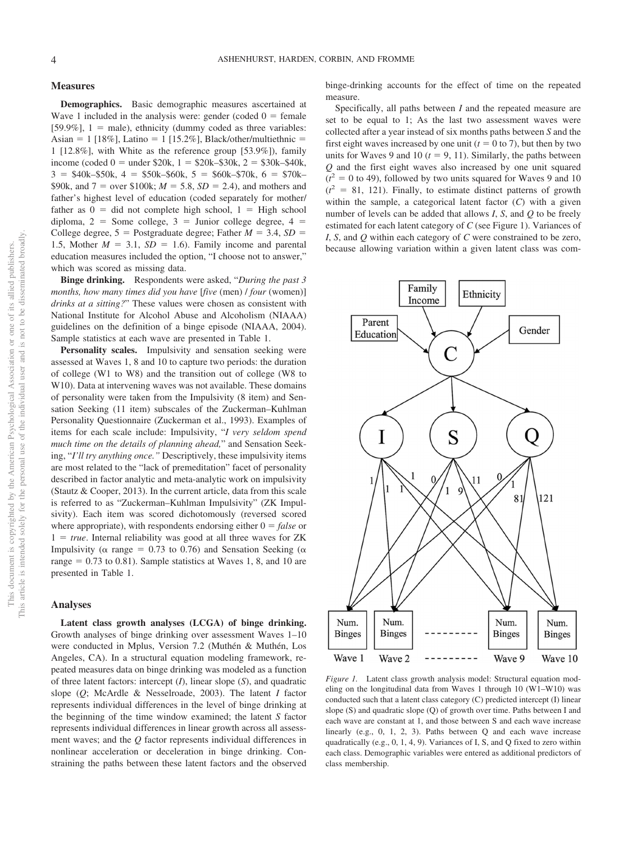#### **Measures**

**Demographics.** Basic demographic measures ascertained at Wave 1 included in the analysis were: gender (coded  $0 =$  female  $[59.9\%]$ ,  $1 =$  male), ethnicity (dummy coded as three variables:  $\text{Asian} = 1$  [18%], Latino = 1 [15.2%], Black/other/multiethnic = 1 [12.8%], with White as the reference group [53.9%]), family income (coded  $0 =$  under \$20k,  $1 =$  \$20k–\$30k,  $2 =$  \$30k–\$40k,  $3 = $40k-$50k, 4 = $50k-$60k, 5 = $60k-$70k, 6 = $70k-$ \$90k, and  $7 =$  over \$100k;  $M = 5.8$ ,  $SD = 2.4$ ), and mothers and father's highest level of education (coded separately for mother/ father as  $0 =$  did not complete high school,  $1 =$  High school diploma,  $2 =$  Some college,  $3 =$  Junior college degree,  $4 =$ College degree,  $5 =$  Postgraduate degree; Father  $M = 3.4$ ,  $SD =$ 1.5, Mother  $M = 3.1$ ,  $SD = 1.6$ ). Family income and parental education measures included the option, "I choose not to answer," which was scored as missing data.

**Binge drinking.** Respondents were asked, "*During the past 3 months, how many times did you have* [*five* (men) / *four* (women)] *drinks at a sitting?*" These values were chosen as consistent with National Institute for Alcohol Abuse and Alcoholism (NIAAA) guidelines on the definition of a binge episode (NIAAA, 2004). Sample statistics at each wave are presented in Table 1.

**Personality scales.** Impulsivity and sensation seeking were assessed at Waves 1, 8 and 10 to capture two periods: the duration of college (W1 to W8) and the transition out of college (W8 to W10). Data at intervening waves was not available. These domains of personality were taken from the Impulsivity (8 item) and Sensation Seeking (11 item) subscales of the Zuckerman–Kuhlman Personality Questionnaire (Zuckerman et al., 1993). Examples of items for each scale include: Impulsivity, "*I very seldom spend much time on the details of planning ahead,*" and Sensation Seeking, "*I'll try anything once."* Descriptively, these impulsivity items are most related to the "lack of premeditation" facet of personality described in factor analytic and meta-analytic work on impulsivity (Stautz & Cooper, 2013). In the current article, data from this scale is referred to as "Zuckerman–Kuhlman Impulsivity" (ZK Impulsivity). Each item was scored dichotomously (reversed scored where appropriate), with respondents endorsing either  $0 = false$  or  $1 = true$ . Internal reliability was good at all three waves for ZK Impulsivity ( $\alpha$  range = 0.73 to 0.76) and Sensation Seeking ( $\alpha$ range  $= 0.73$  to 0.81). Sample statistics at Waves 1, 8, and 10 are presented in Table 1.

#### **Analyses**

**Latent class growth analyses (LCGA) of binge drinking.** Growth analyses of binge drinking over assessment Waves 1–10 were conducted in Mplus, Version 7.2 (Muthén & Muthén, Los Angeles, CA). In a structural equation modeling framework, repeated measures data on binge drinking was modeled as a function of three latent factors: intercept (*I*), linear slope (*S*), and quadratic slope (*Q*; McArdle & Nesselroade, 2003). The latent *I* factor represents individual differences in the level of binge drinking at the beginning of the time window examined; the latent *S* factor represents individual differences in linear growth across all assessment waves; and the *Q* factor represents individual differences in nonlinear acceleration or deceleration in binge drinking. Constraining the paths between these latent factors and the observed binge-drinking accounts for the effect of time on the repeated measure.

Specifically, all paths between *I* and the repeated measure are set to be equal to 1; As the last two assessment waves were collected after a year instead of six months paths between *S* and the first eight waves increased by one unit  $(t = 0$  to 7), but then by two units for Waves 9 and 10  $(t = 9, 11)$ . Similarly, the paths between *Q* and the first eight waves also increased by one unit squared  $(t^2 = 0$  to 49), followed by two units squared for Waves 9 and 10  $(t^2 = 81, 121)$ . Finally, to estimate distinct patterns of growth within the sample, a categorical latent factor (*C*) with a given number of levels can be added that allows *I*, *S*, and *Q* to be freely estimated for each latent category of *C* (see Figure 1). Variances of *I*, *S*, and *Q* within each category of *C* were constrained to be zero, because allowing variation within a given latent class was com-



*Figure 1.* Latent class growth analysis model: Structural equation modeling on the longitudinal data from Waves 1 through 10 (W1–W10) was conducted such that a latent class category (C) predicted intercept (I) linear slope (S) and quadratic slope (Q) of growth over time. Paths between I and each wave are constant at 1, and those between S and each wave increase linearly (e.g., 0, 1, 2, 3). Paths between Q and each wave increase quadratically (e.g., 0, 1, 4, 9). Variances of I, S, and Q fixed to zero within each class. Demographic variables were entered as additional predictors of class membership.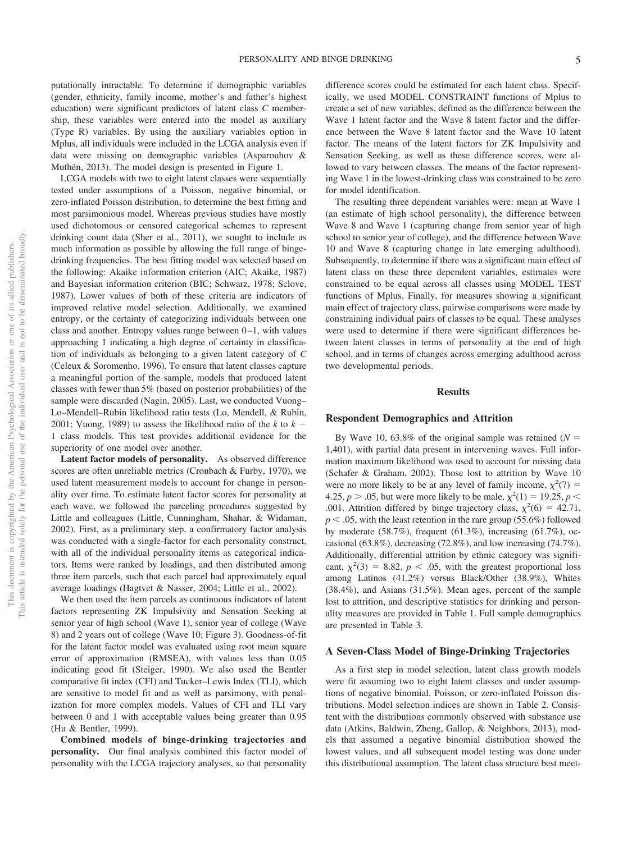putationally intractable. To determine if demographic variables (gender, ethnicity, family income, mother's and father's highest education) were significant predictors of latent class *C* membership, these variables were entered into the model as auxiliary (Type R) variables. By using the auxiliary variables option in Mplus, all individuals were included in the LCGA analysis even if data were missing on demographic variables (Asparouhov & Muthén, 2013). The model design is presented in Figure 1.

LCGA models with two to eight latent classes were sequentially tested under assumptions of a Poisson, negative binomial, or zero-inflated Poisson distribution, to determine the best fitting and most parsimonious model. Whereas previous studies have mostly used dichotomous or censored categorical schemes to represent drinking count data (Sher et al., 2011), we sought to include as much information as possible by allowing the full range of bingedrinking frequencies. The best fitting model was selected based on the following: Akaike information criterion (AIC; Akaike, 1987) and Bayesian information criterion (BIC; Schwarz, 1978; Sclove, 1987). Lower values of both of these criteria are indicators of improved relative model selection. Additionally, we examined entropy, or the certainty of categorizing individuals between one class and another. Entropy values range between  $0-1$ , with values approaching 1 indicating a high degree of certainty in classification of individuals as belonging to a given latent category of *C* (Celeux & Soromenho, 1996). To ensure that latent classes capture a meaningful portion of the sample, models that produced latent classes with fewer than 5% (based on posterior probabilities) of the sample were discarded (Nagin, 2005). Last, we conducted Vuong– Lo–Mendell–Rubin likelihood ratio tests (Lo, Mendell, & Rubin, 2001; Vuong, 1989) to assess the likelihood ratio of the  $k$  to  $k -$ 1 class models. This test provides additional evidence for the superiority of one model over another.

**Latent factor models of personality.** As observed difference scores are often unreliable metrics (Cronbach & Furby, 1970), we used latent measurement models to account for change in personality over time. To estimate latent factor scores for personality at each wave, we followed the parceling procedures suggested by Little and colleagues (Little, Cunningham, Shahar, & Widaman, 2002). First, as a preliminary step, a confirmatory factor analysis was conducted with a single-factor for each personality construct, with all of the individual personality items as categorical indicators. Items were ranked by loadings, and then distributed among three item parcels, such that each parcel had approximately equal average loadings (Hagtvet & Nasser, 2004; Little et al., 2002).

We then used the item parcels as continuous indicators of latent factors representing ZK Impulsivity and Sensation Seeking at senior year of high school (Wave 1), senior year of college (Wave 8) and 2 years out of college (Wave 10; Figure 3). Goodness-of-fit for the latent factor model was evaluated using root mean square error of approximation (RMSEA), with values less than 0.05 indicating good fit (Steiger, 1990). We also used the Bentler comparative fit index (CFI) and Tucker–Lewis Index (TLI), which are sensitive to model fit and as well as parsimony, with penalization for more complex models. Values of CFI and TLI vary between 0 and 1 with acceptable values being greater than 0.95 (Hu & Bentler, 1999).

**Combined models of binge-drinking trajectories and personality.** Our final analysis combined this factor model of personality with the LCGA trajectory analyses, so that personality difference scores could be estimated for each latent class. Specifically, we used MODEL CONSTRAINT functions of Mplus to create a set of new variables, defined as the difference between the Wave 1 latent factor and the Wave 8 latent factor and the difference between the Wave 8 latent factor and the Wave 10 latent factor. The means of the latent factors for ZK Impulsivity and Sensation Seeking, as well as these difference scores, were allowed to vary between classes. The means of the factor representing Wave 1 in the lowest-drinking class was constrained to be zero for model identification.

The resulting three dependent variables were: mean at Wave 1 (an estimate of high school personality), the difference between Wave 8 and Wave 1 (capturing change from senior year of high school to senior year of college), and the difference between Wave 10 and Wave 8 (capturing change in late emerging adulthood). Subsequently, to determine if there was a significant main effect of latent class on these three dependent variables, estimates were constrained to be equal across all classes using MODEL TEST functions of Mplus. Finally, for measures showing a significant main effect of trajectory class, pairwise comparisons were made by constraining individual pairs of classes to be equal. These analyses were used to determine if there were significant differences between latent classes in terms of personality at the end of high school, and in terms of changes across emerging adulthood across two developmental periods.

#### **Results**

#### **Respondent Demographics and Attrition**

By Wave 10, 63.8% of the original sample was retained  $(N =$ 1,401), with partial data present in intervening waves. Full information maximum likelihood was used to account for missing data (Schafer & Graham, 2002). Those lost to attrition by Wave 10 were no more likely to be at any level of family income,  $\chi^2(7) =$ 4.25,  $p > .05$ , but were more likely to be male,  $\chi^2(1) = 19.25$ ,  $p <$ .001. Attrition differed by binge trajectory class,  $\chi^2(6) = 42.71$ ,  $p < .05$ , with the least retention in the rare group (55.6%) followed by moderate (58.7%), frequent (61.3%), increasing (61.7%), occasional (63.8%), decreasing (72.8%), and low increasing (74.7%). Additionally, differential attrition by ethnic category was significant,  $\chi^2(3) = 8.82$ ,  $p < .05$ , with the greatest proportional loss among Latinos (41.2%) versus Black/Other (38.9%), Whites (38.4%), and Asians (31.5%). Mean ages, percent of the sample lost to attrition, and descriptive statistics for drinking and personality measures are provided in Table 1. Full sample demographics are presented in Table 3.

#### **A Seven-Class Model of Binge-Drinking Trajectories**

As a first step in model selection, latent class growth models were fit assuming two to eight latent classes and under assumptions of negative binomial, Poisson, or zero-inflated Poisson distributions. Model selection indices are shown in Table 2. Consistent with the distributions commonly observed with substance use data (Atkins, Baldwin, Zheng, Gallop, & Neighbors, 2013), models that assumed a negative binomial distribution showed the lowest values, and all subsequent model testing was done under this distributional assumption. The latent class structure best meet-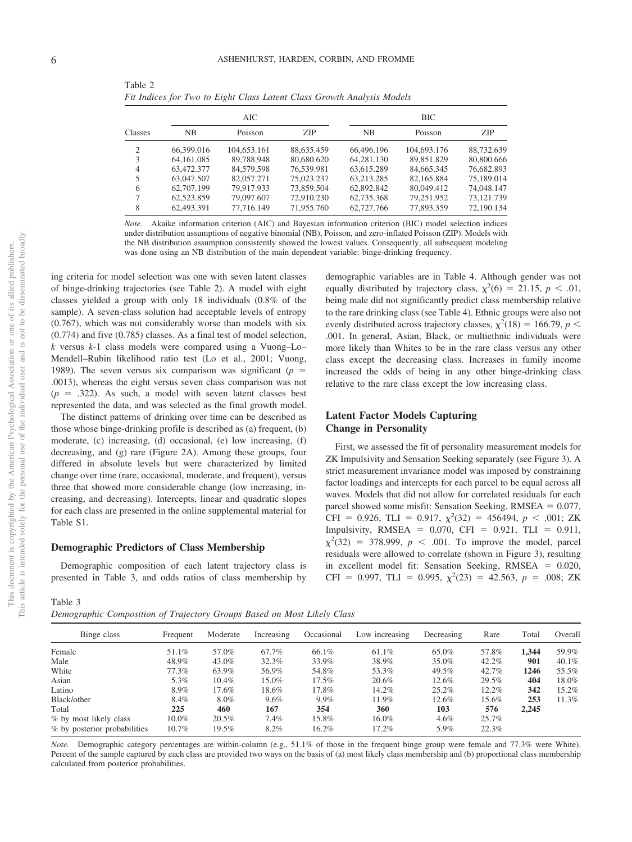|                |            | AIC         |            | <b>BIC</b> |             |            |  |  |
|----------------|------------|-------------|------------|------------|-------------|------------|--|--|
| Classes        | <b>NB</b>  | Poisson     | <b>ZIP</b> | <b>NB</b>  | Poisson     | <b>ZIP</b> |  |  |
| 2              | 66,399,016 | 104,653.161 | 88.635.459 | 66,496.196 | 104,693.176 | 88,732,639 |  |  |
| 3              | 64.161.085 | 89,788,948  | 80,680,620 | 64.281.130 | 89.851.829  | 80,800,666 |  |  |
| $\overline{4}$ | 63,472.377 | 84,579,598  | 76.539.981 | 63.615.289 | 84,665,345  | 76,682,893 |  |  |
| 5              | 63,047.507 | 82,057.271  | 75,023,237 | 63.213.285 | 82.165.884  | 75,189,014 |  |  |
| 6              | 62,707.199 | 79.917.933  | 73.859.504 | 62,892,842 | 80,049.412  | 74,048.147 |  |  |
| 7              | 62,523,859 | 79,097.607  | 72,910.230 | 62,735,368 | 79.251.952  | 73.121.739 |  |  |
| 8              | 62,493.391 | 77,716,149  | 71,955,760 | 62,727,766 | 77,893,359  | 72,190,134 |  |  |

Table 2 *Fit Indices for Two to Eight Class Latent Class Growth Analysis Models*

*Note.* Akaike information criterion (AIC) and Bayesian information criterion (BIC) model selection indices under distribution assumptions of negative binomial (NB), Poisson, and zero-inflated Poisson (ZIP). Models with the NB distribution assumption consistently showed the lowest values. Consequently, all subsequent modeling was done using an NB distribution of the main dependent variable: binge-drinking frequency.

ing criteria for model selection was one with seven latent classes of binge-drinking trajectories (see Table 2). A model with eight classes yielded a group with only 18 individuals (0.8% of the sample). A seven-class solution had acceptable levels of entropy (0.767), which was not considerably worse than models with six (0.774) and five (0.785) classes. As a final test of model selection, *k* versus *k*-1 class models were compared using a Vuong–Lo– Mendell–Rubin likelihood ratio test (Lo et al., 2001; Vuong, 1989). The seven versus six comparison was significant  $(p =$ .0013), whereas the eight versus seven class comparison was not  $(p = .322)$ . As such, a model with seven latent classes best represented the data, and was selected as the final growth model.

The distinct patterns of drinking over time can be described as those whose binge-drinking profile is described as (a) frequent, (b) moderate, (c) increasing, (d) occasional, (e) low increasing, (f) decreasing, and (g) rare (Figure 2A). Among these groups, four differed in absolute levels but were characterized by limited change over time (rare, occasional, moderate, and frequent), versus three that showed more considerable change (low increasing, increasing, and decreasing). Intercepts, linear and quadratic slopes for each class are presented in the online supplemental material for Table S1.

### **Demographic Predictors of Class Membership**

Demographic composition of each latent trajectory class is presented in Table 3, and odds ratios of class membership by

demographic variables are in Table 4. Although gender was not equally distributed by trajectory class,  $\chi^2(6) = 21.15$ ,  $p < .01$ , being male did not significantly predict class membership relative to the rare drinking class (see Table 4). Ethnic groups were also not evenly distributed across trajectory classes,  $\chi^2(18) = 166.79$ ,  $p <$ .001. In general, Asian, Black, or multiethnic individuals were more likely than Whites to be in the rare class versus any other class except the decreasing class. Increases in family income increased the odds of being in any other binge-drinking class relative to the rare class except the low increasing class.

# **Latent Factor Models Capturing Change in Personality**

First, we assessed the fit of personality measurement models for ZK Impulsivity and Sensation Seeking separately (see Figure 3). A strict measurement invariance model was imposed by constraining factor loadings and intercepts for each parcel to be equal across all waves. Models that did not allow for correlated residuals for each parcel showed some misfit: Sensation Seeking,  $RMSEA = 0.077$ , CFI = 0.926, TLI = 0.917,  $\chi^2(32) = 456494$ ,  $p < .001$ ; ZK Impulsivity, RMSEA =  $0.070$ , CFI =  $0.921$ , TLI =  $0.911$ ,  $\chi^2(32) = 378.999$ ,  $p < .001$ . To improve the model, parcel residuals were allowed to correlate (shown in Figure 3), resulting in excellent model fit: Sensation Seeking, RMSEA = 0.020, CFI = 0.997, TLI = 0.995,  $\chi^2(23) = 42.563$ ,  $p = .008$ ; ZK

Table 3

*Demographic Composition of Trajectory Groups Based on Most Likely Class*

| Binge class                  | Frequent | Moderate | Increasing | Occasional | Low increasing | Decreasing | Rare  | Total | Overall  |
|------------------------------|----------|----------|------------|------------|----------------|------------|-------|-------|----------|
| Female                       | 51.1%    | 57.0%    | 67.7%      | 66.1%      | 61.1%          | 65.0%      | 57.8% | 1.344 | 59.9%    |
| Male                         | 48.9%    | 43.0%    | 32.3%      | 33.9%      | 38.9%          | 35.0%      | 42.2% | 901   | $40.1\%$ |
| White                        | 77.3%    | 63.9%    | 56.9%      | 54.8%      | 53.3%          | 49.5%      | 42.7% | 1246  | 55.5%    |
| Asian                        | 5.3%     | 10.4%    | 15.0%      | $17.5\%$   | 20.6%          | 12.6%      | 29.5% | 404   | 18.0%    |
| Latino                       | 8.9%     | 17.6%    | 18.6%      | 17.8%      | 14.2%          | 25.2%      | 12.2% | 342   | 15.2%    |
| Black/other                  | 8.4%     | 8.0%     | $9.6\%$    | 9.9%       | 11.9%          | 12.6%      | 15.6% | 253   | 11.3%    |
| Total                        | 225      | 460      | 167        | 354        | 360            | 103        | 576   | 2,245 |          |
| % by most likely class       | $10.0\%$ | 20.5%    | $7.4\%$    | 15.8%      | $16.0\%$       | $4.6\%$    | 25.7% |       |          |
| % by posterior probabilities | 10.7%    | 19.5%    | 8.2%       | 16.2%      | 17.2%          | 5.9%       | 22.3% |       |          |
|                              |          |          |            |            |                |            |       |       |          |

*Note.* Demographic category percentages are within-column (e.g., 51.1% of those in the frequent binge group were female and 77.3% were White). Percent of the sample captured by each class are provided two ways on the basis of (a) most likely class membership and (b) proportional class membership calculated from posterior probabilities.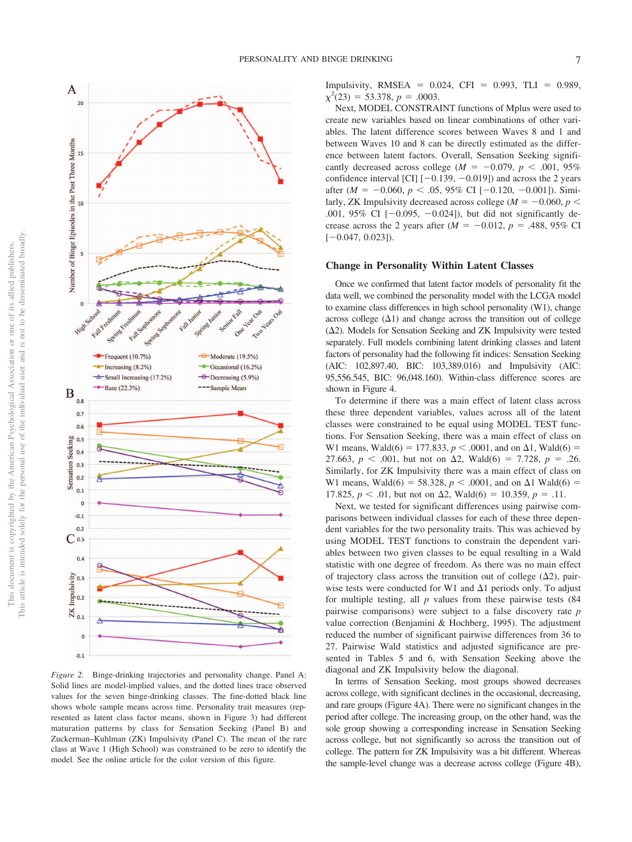This article is intended solely for the personal use of the individual user and is not to be disseminated broadly. This article is intended solely for the personal use of the individual user and is not to be disseminated broadly. This document is copyrighted by the American Psychological Association or one of its allied publishers. This document is copyrighted by the American Psychological Association or one of its allied publishers.



*Figure 2.* Binge-drinking trajectories and personality change. Panel A: Solid lines are model-implied values, and the dotted lines trace observed values for the seven binge-drinking classes. The fine-dotted black line shows whole sample means across time. Personality trait measures (represented as latent class factor means, shown in Figure 3) had different maturation patterns by class for Sensation Seeking (Panel B) and Zuckerman–Kuhlman (ZK) Impulsivity (Panel C). The mean of the rare class at Wave 1 (High School) was constrained to be zero to identify the model. See the online article for the color version of this figure.

Impulsivity, RMSEA =  $0.024$ , CFI =  $0.993$ , TLI =  $0.989$ ,  $\chi^2(23) = 53.378, p = .0003.$ 

Next, MODEL CONSTRAINT functions of Mplus were used to create new variables based on linear combinations of other variables. The latent difference scores between Waves 8 and 1 and between Waves 10 and 8 can be directly estimated as the difference between latent factors. Overall, Sensation Seeking significantly decreased across college  $(M = -0.079, p < .001, 95\%$ confidence interval [CI]  $[-0.139, -0.019]$ ) and across the 2 years after ( $M = -0.060, p < .05, 95\%$  CI [ $-0.120, -0.001$ ]). Similarly, ZK Impulsivity decreased across college ( $M = -0.060, p <$ .001, 95% CI  $[-0.095, -0.024]$ ), but did not significantly decrease across the 2 years after  $(M = -0.012, p = .488, 95\% \text{ CI}$  $[-0.047, 0.023]$ .

#### **Change in Personality Within Latent Classes**

Once we confirmed that latent factor models of personality fit the data well, we combined the personality model with the LCGA model to examine class differences in high school personality (W1), change across college  $(\Delta 1)$  and change across the transition out of college  $(\Delta 2)$ . Models for Sensation Seeking and ZK Impulsivity were tested separately. Full models combining latent drinking classes and latent factors of personality had the following fit indices: Sensation Seeking (AIC: 102,897.40, BIC: 103,389.016) and Impulsivity (AIC: 95,556.545, BIC: 96,048.160). Within-class difference scores are shown in Figure 4.

To determine if there was a main effect of latent class across these three dependent variables, values across all of the latent classes were constrained to be equal using MODEL TEST functions. For Sensation Seeking, there was a main effect of class on W1 means, Wald(6) = 177.833,  $p < .0001$ , and on  $\Delta 1$ , Wald(6) = 27.663,  $p < .001$ , but not on  $\Delta 2$ , Wald(6) = 7.728,  $p = .26$ . Similarly, for ZK Impulsivity there was a main effect of class on W1 means, Wald(6) = 58.328,  $p < .0001$ , and on  $\Delta 1$  Wald(6) = 17.825,  $p < .01$ , but not on  $\Delta 2$ , Wald(6) = 10.359,  $p = .11$ .

Next, we tested for significant differences using pairwise comparisons between individual classes for each of these three dependent variables for the two personality traits. This was achieved by using MODEL TEST functions to constrain the dependent variables between two given classes to be equal resulting in a Wald statistic with one degree of freedom. As there was no main effect of trajectory class across the transition out of college  $(\Delta 2)$ , pairwise tests were conducted for W1 and  $\Delta$ 1 periods only. To adjust for multiple testing, all *p* values from these pairwise tests (84 pairwise comparisons) were subject to a false discovery rate *p* value correction (Benjamini & Hochberg, 1995). The adjustment reduced the number of significant pairwise differences from 36 to 27. Pairwise Wald statistics and adjusted significance are presented in Tables 5 and 6, with Sensation Seeking above the diagonal and ZK Impulsivity below the diagonal.

In terms of Sensation Seeking, most groups showed decreases across college, with significant declines in the occasional, decreasing, and rare groups (Figure 4A). There were no significant changes in the period after college. The increasing group, on the other hand, was the sole group showing a corresponding increase in Sensation Seeking across college, but not significantly so across the transition out of college. The pattern for ZK Impulsivity was a bit different. Whereas the sample-level change was a decrease across college (Figure 4B),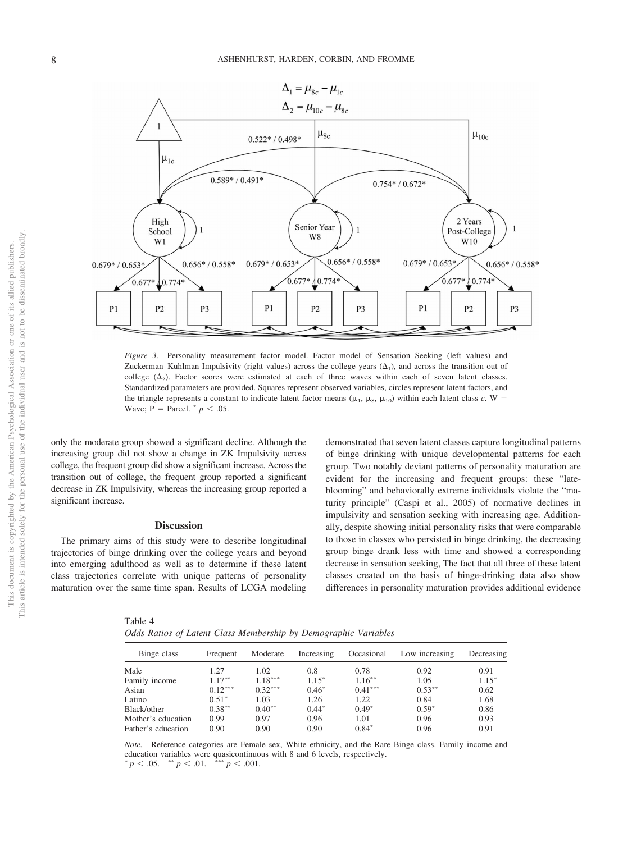

*Figure 3.* Personality measurement factor model. Factor model of Sensation Seeking (left values) and Zuckerman–Kuhlman Impulsivity (right values) across the college years  $(\Delta_1)$ , and across the transition out of college  $(\Delta_2)$ . Factor scores were estimated at each of three waves within each of seven latent classes. Standardized parameters are provided. Squares represent observed variables, circles represent latent factors, and the triangle represents a constant to indicate latent factor means ( $\mu_1$ ,  $\mu_8$ ,  $\mu_{10}$ ) within each latent class *c*. W = Wave;  $P = \text{Parcel.}^* p < .05$ .

only the moderate group showed a significant decline. Although the increasing group did not show a change in ZK Impulsivity across college, the frequent group did show a significant increase. Across the transition out of college, the frequent group reported a significant decrease in ZK Impulsivity, whereas the increasing group reported a significant increase.

### **Discussion**

The primary aims of this study were to describe longitudinal trajectories of binge drinking over the college years and beyond into emerging adulthood as well as to determine if these latent class trajectories correlate with unique patterns of personality maturation over the same time span. Results of LCGA modeling

of binge drinking with unique developmental patterns for each group. Two notably deviant patterns of personality maturation are evident for the increasing and frequent groups: these "lateblooming" and behaviorally extreme individuals violate the "maturity principle" (Caspi et al., 2005) of normative declines in impulsivity and sensation seeking with increasing age. Additionally, despite showing initial personality risks that were comparable to those in classes who persisted in binge drinking, the decreasing group binge drank less with time and showed a corresponding decrease in sensation seeking, The fact that all three of these latent classes created on the basis of binge-drinking data also show differences in personality maturation provides additional evidence

demonstrated that seven latent classes capture longitudinal patterns

| v.<br>٠<br>٠<br>×<br>۰. |  |  |  |
|-------------------------|--|--|--|
|-------------------------|--|--|--|

|  |  |  |  |  |  | Odds Ratios of Latent Class Membership by Demographic Variables |  |
|--|--|--|--|--|--|-----------------------------------------------------------------|--|
|--|--|--|--|--|--|-----------------------------------------------------------------|--|

| Binge class        | Frequent  | Moderate  | Increasing | Occasional | Low increasing | Decreasing |
|--------------------|-----------|-----------|------------|------------|----------------|------------|
| Male               | 1.27      | 1.02      | 0.8        | 0.78       | 0.92           | 0.91       |
| Family income      | $1.17***$ | $1.18***$ | $1.15*$    | $1.16***$  | 1.05           | $1.15*$    |
| Asian              | $0.12***$ | $0.32***$ | $0.46*$    | $0.41***$  | $0.53***$      | 0.62       |
| Latino             | $0.51*$   | 1.03      | 1.26       | 1.22       | 0.84           | 1.68       |
| Black/other        | $0.38***$ | $0.40**$  | $0.44*$    | $0.49*$    | $0.59*$        | 0.86       |
| Mother's education | 0.99      | 0.97      | 0.96       | 1.01       | 0.96           | 0.93       |
| Father's education | 0.90      | 0.90      | 0.90       | $0.84*$    | 0.96           | 0.91       |

*Note.* Reference categories are Female sex, White ethnicity, and the Rare Binge class. Family income and education variables were quasicontinuous with 8 and 6 levels, respectively.  $p < .05.$  \*\*  $p < .01.$  \*\*\*  $p < .001.$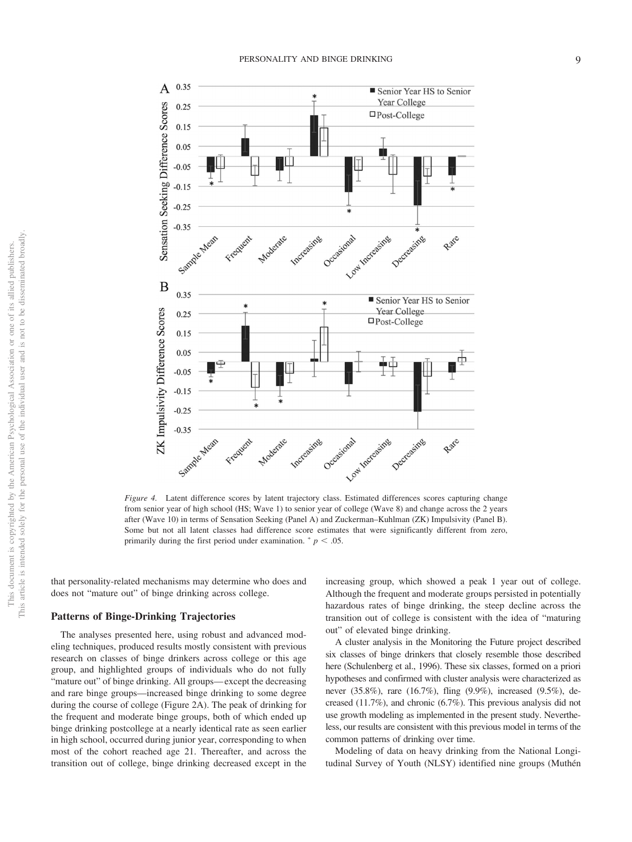

*Figure 4.* Latent difference scores by latent trajectory class. Estimated differences scores capturing change from senior year of high school (HS; Wave 1) to senior year of college (Wave 8) and change across the 2 years after (Wave 10) in terms of Sensation Seeking (Panel A) and Zuckerman–Kuhlman (ZK) Impulsivity (Panel B). Some but not all latent classes had difference score estimates that were significantly different from zero, primarily during the first period under examination.  $p < .05$ .

that personality-related mechanisms may determine who does and does not "mature out" of binge drinking across college.

#### **Patterns of Binge-Drinking Trajectories**

The analyses presented here, using robust and advanced modeling techniques, produced results mostly consistent with previous research on classes of binge drinkers across college or this age group, and highlighted groups of individuals who do not fully "mature out" of binge drinking. All groups— except the decreasing and rare binge groups—increased binge drinking to some degree during the course of college (Figure 2A). The peak of drinking for the frequent and moderate binge groups, both of which ended up binge drinking postcollege at a nearly identical rate as seen earlier in high school, occurred during junior year, corresponding to when most of the cohort reached age 21. Thereafter, and across the transition out of college, binge drinking decreased except in the increasing group, which showed a peak 1 year out of college. Although the frequent and moderate groups persisted in potentially hazardous rates of binge drinking, the steep decline across the transition out of college is consistent with the idea of "maturing out" of elevated binge drinking.

A cluster analysis in the Monitoring the Future project described six classes of binge drinkers that closely resemble those described here (Schulenberg et al., 1996). These six classes, formed on a priori hypotheses and confirmed with cluster analysis were characterized as never (35.8%), rare (16.7%), fling (9.9%), increased (9.5%), decreased (11.7%), and chronic (6.7%). This previous analysis did not use growth modeling as implemented in the present study. Nevertheless, our results are consistent with this previous model in terms of the common patterns of drinking over time.

Modeling of data on heavy drinking from the National Longitudinal Survey of Youth (NLSY) identified nine groups (Muthén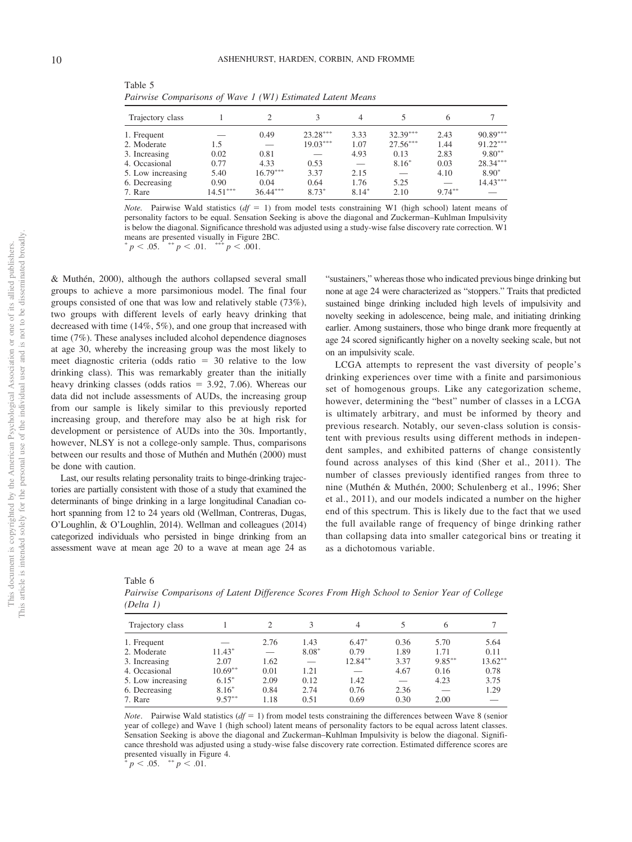| Trajectory class  |            |                          |            | 4       |            |           |            |
|-------------------|------------|--------------------------|------------|---------|------------|-----------|------------|
| 1. Frequent       |            | 0.49                     | $23.28***$ | 3.33    | $32.39***$ | 2.43      | $90.89***$ |
| 2. Moderate       | 1.5        | $\overline{\phantom{0}}$ | $19.03***$ | 1.07    | $27.56***$ | 1.44      | $91.22***$ |
| 3. Increasing     | 0.02       | 0.81                     |            | 4.93    | 0.13       | 2.83      | $9.80**$   |
| 4. Occasional     | 0.77       | 4.33                     | 0.53       |         | $8.16*$    | 0.03      | $28.34***$ |
| 5. Low increasing | 5.40       | $16.79***$               | 3.37       | 2.15    |            | 4.10      | $8.90*$    |
| 6. Decreasing     | 0.90       | 0.04                     | 0.64       | 1.76    | 5.25       |           | $14.43***$ |
| 7. Rare           | $14.51***$ | $36.44***$               | $8.73*$    | $8.14*$ | 2.10       | $9.74***$ |            |
|                   |            |                          |            |         |            |           |            |

Table 5 *Pairwise Comparisons of Wave 1 (W1) Estimated Latent Means*

*Note.* Pairwise Wald statistics  $(df = 1)$  from model tests constraining W1 (high school) latent means of personality factors to be equal. Sensation Seeking is above the diagonal and Zuckerman–Kuhlman Impulsivity is below the diagonal. Significance threshold was adjusted using a study-wise false discovery rate correction. W1 means are presented visually in Figure 2BC.<br>\*  $n \leq 0.05$  \*\*  $n \leq 0.01$  \*\*\*  $n \leq 0.001$ 

 $p < .05.$  \*\*  $p < .01.$  \*\*\*  $p < .001.$ 

& Muthén, 2000), although the authors collapsed several small groups to achieve a more parsimonious model. The final four groups consisted of one that was low and relatively stable (73%), two groups with different levels of early heavy drinking that decreased with time (14%, 5%), and one group that increased with time (7%). These analyses included alcohol dependence diagnoses at age 30, whereby the increasing group was the most likely to meet diagnostic criteria (odds ratio  $= 30$  relative to the low drinking class). This was remarkably greater than the initially heavy drinking classes (odds ratios  $= 3.92, 7.06$ ). Whereas our data did not include assessments of AUDs, the increasing group from our sample is likely similar to this previously reported increasing group, and therefore may also be at high risk for development or persistence of AUDs into the 30s. Importantly, however, NLSY is not a college-only sample. Thus, comparisons between our results and those of Muthén and Muthén (2000) must be done with caution.

Last, our results relating personality traits to binge-drinking trajectories are partially consistent with those of a study that examined the determinants of binge drinking in a large longitudinal Canadian cohort spanning from 12 to 24 years old (Wellman, Contreras, Dugas, O'Loughlin, & O'Loughlin, 2014). Wellman and colleagues (2014) categorized individuals who persisted in binge drinking from an assessment wave at mean age 20 to a wave at mean age 24 as

"sustainers," whereas those who indicated previous binge drinking but none at age 24 were characterized as "stoppers." Traits that predicted sustained binge drinking included high levels of impulsivity and novelty seeking in adolescence, being male, and initiating drinking earlier. Among sustainers, those who binge drank more frequently at age 24 scored significantly higher on a novelty seeking scale, but not on an impulsivity scale.

LCGA attempts to represent the vast diversity of people's drinking experiences over time with a finite and parsimonious set of homogenous groups. Like any categorization scheme, however, determining the "best" number of classes in a LCGA is ultimately arbitrary, and must be informed by theory and previous research. Notably, our seven-class solution is consistent with previous results using different methods in independent samples, and exhibited patterns of change consistently found across analyses of this kind (Sher et al., 2011). The number of classes previously identified ranges from three to nine (Muthén & Muthén, 2000; Schulenberg et al., 1996; Sher et al., 2011), and our models indicated a number on the higher end of this spectrum. This is likely due to the fact that we used the full available range of frequency of binge drinking rather than collapsing data into smaller categorical bins or treating it as a dichotomous variable.

| Table 6                                                                                     |  |
|---------------------------------------------------------------------------------------------|--|
| Pairwise Comparisons of Latent Difference Scores From High School to Senior Year of College |  |
| (Delta 1)                                                                                   |  |

| Trajectory class  |           | $\mathcal{D}_{\mathcal{L}}$ | 3       | 4          |      | 6         |            |
|-------------------|-----------|-----------------------------|---------|------------|------|-----------|------------|
| 1. Frequent       |           | 2.76                        | 1.43    | $6.47*$    | 0.36 | 5.70      | 5.64       |
| 2. Moderate       | $11.43*$  | $\overline{\phantom{0}}$    | $8.08*$ | 0.79       | 1.89 | 1.71      | 0.11       |
| 3. Increasing     | 2.07      | 1.62                        |         | $12.84***$ | 3.37 | $9.85***$ | $13.62***$ |
| 4. Occasional     | $10.69**$ | 0.01                        | 1.21    |            | 4.67 | 0.16      | 0.78       |
| 5. Low increasing | $6.15*$   | 2.09                        | 0.12    | 1.42       |      | 4.23      | 3.75       |
| 6. Decreasing     | $8.16*$   | 0.84                        | 2.74    | 0.76       | 2.36 |           | 1.29       |
| 7. Rare           | $9.57***$ | 1.18                        | 0.51    | 0.69       | 0.30 | 2.00      |            |

*Note*. Pairwise Wald statistics  $(df = 1)$  from model tests constraining the differences between Wave 8 (senior year of college) and Wave 1 (high school) latent means of personality factors to be equal across latent classes. Sensation Seeking is above the diagonal and Zuckerman–Kuhlman Impulsivity is below the diagonal. Significance threshold was adjusted using a study-wise false discovery rate correction. Estimated difference scores are presented visually in Figure 4.

 $\frac{1}{p}$   $p$  < .05.  $\frac{1}{p}$   $\leq$  .01.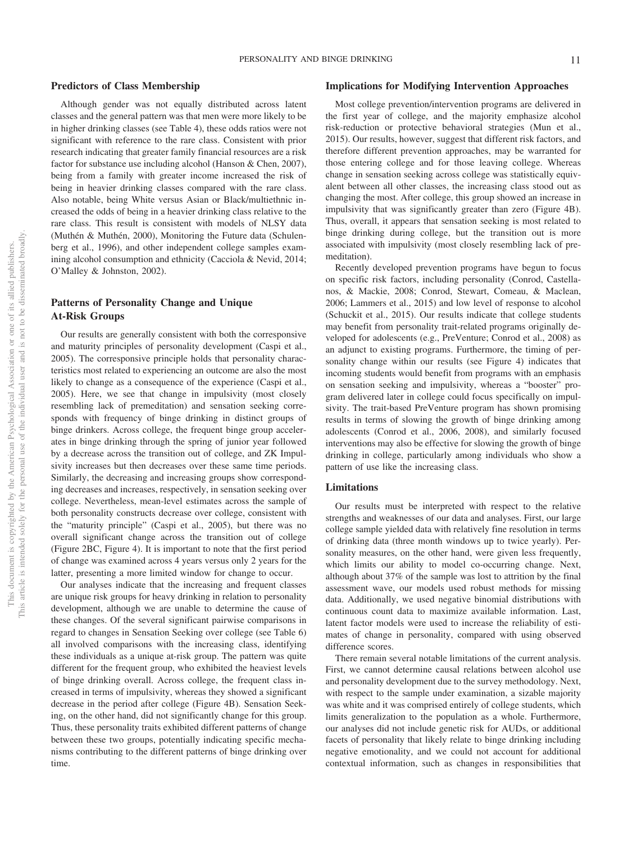## **Predictors of Class Membership**

Although gender was not equally distributed across latent classes and the general pattern was that men were more likely to be in higher drinking classes (see Table 4), these odds ratios were not significant with reference to the rare class. Consistent with prior research indicating that greater family financial resources are a risk factor for substance use including alcohol (Hanson & Chen, 2007), being from a family with greater income increased the risk of being in heavier drinking classes compared with the rare class. Also notable, being White versus Asian or Black/multiethnic increased the odds of being in a heavier drinking class relative to the rare class. This result is consistent with models of NLSY data (Muthén & Muthén, 2000), Monitoring the Future data (Schulenberg et al., 1996), and other independent college samples examining alcohol consumption and ethnicity (Cacciola & Nevid, 2014; O'Malley & Johnston, 2002).

# **Patterns of Personality Change and Unique At-Risk Groups**

Our results are generally consistent with both the corresponsive and maturity principles of personality development (Caspi et al., 2005). The corresponsive principle holds that personality characteristics most related to experiencing an outcome are also the most likely to change as a consequence of the experience (Caspi et al., 2005). Here, we see that change in impulsivity (most closely resembling lack of premeditation) and sensation seeking corresponds with frequency of binge drinking in distinct groups of binge drinkers. Across college, the frequent binge group accelerates in binge drinking through the spring of junior year followed by a decrease across the transition out of college, and ZK Impulsivity increases but then decreases over these same time periods. Similarly, the decreasing and increasing groups show corresponding decreases and increases, respectively, in sensation seeking over college. Nevertheless, mean-level estimates across the sample of both personality constructs decrease over college, consistent with the "maturity principle" (Caspi et al., 2005), but there was no overall significant change across the transition out of college (Figure 2BC, Figure 4). It is important to note that the first period of change was examined across 4 years versus only 2 years for the latter, presenting a more limited window for change to occur.

Our analyses indicate that the increasing and frequent classes are unique risk groups for heavy drinking in relation to personality development, although we are unable to determine the cause of these changes. Of the several significant pairwise comparisons in regard to changes in Sensation Seeking over college (see Table 6) all involved comparisons with the increasing class, identifying these individuals as a unique at-risk group. The pattern was quite different for the frequent group, who exhibited the heaviest levels of binge drinking overall. Across college, the frequent class increased in terms of impulsivity, whereas they showed a significant decrease in the period after college (Figure 4B). Sensation Seeking, on the other hand, did not significantly change for this group. Thus, these personality traits exhibited different patterns of change between these two groups, potentially indicating specific mechanisms contributing to the different patterns of binge drinking over time.

#### **Implications for Modifying Intervention Approaches**

Most college prevention/intervention programs are delivered in the first year of college, and the majority emphasize alcohol risk-reduction or protective behavioral strategies (Mun et al., 2015). Our results, however, suggest that different risk factors, and therefore different prevention approaches, may be warranted for those entering college and for those leaving college. Whereas change in sensation seeking across college was statistically equivalent between all other classes, the increasing class stood out as changing the most. After college, this group showed an increase in impulsivity that was significantly greater than zero (Figure 4B). Thus, overall, it appears that sensation seeking is most related to binge drinking during college, but the transition out is more associated with impulsivity (most closely resembling lack of premeditation).

Recently developed prevention programs have begun to focus on specific risk factors, including personality (Conrod, Castellanos, & Mackie, 2008; Conrod, Stewart, Comeau, & Maclean, 2006; Lammers et al., 2015) and low level of response to alcohol (Schuckit et al., 2015). Our results indicate that college students may benefit from personality trait-related programs originally developed for adolescents (e.g., PreVenture; Conrod et al., 2008) as an adjunct to existing programs. Furthermore, the timing of personality change within our results (see Figure 4) indicates that incoming students would benefit from programs with an emphasis on sensation seeking and impulsivity, whereas a "booster" program delivered later in college could focus specifically on impulsivity. The trait-based PreVenture program has shown promising results in terms of slowing the growth of binge drinking among adolescents (Conrod et al., 2006, 2008), and similarly focused interventions may also be effective for slowing the growth of binge drinking in college, particularly among individuals who show a pattern of use like the increasing class.

#### **Limitations**

Our results must be interpreted with respect to the relative strengths and weaknesses of our data and analyses. First, our large college sample yielded data with relatively fine resolution in terms of drinking data (three month windows up to twice yearly). Personality measures, on the other hand, were given less frequently, which limits our ability to model co-occurring change. Next, although about 37% of the sample was lost to attrition by the final assessment wave, our models used robust methods for missing data. Additionally, we used negative binomial distributions with continuous count data to maximize available information. Last, latent factor models were used to increase the reliability of estimates of change in personality, compared with using observed difference scores.

There remain several notable limitations of the current analysis. First, we cannot determine causal relations between alcohol use and personality development due to the survey methodology. Next, with respect to the sample under examination, a sizable majority was white and it was comprised entirely of college students, which limits generalization to the population as a whole. Furthermore, our analyses did not include genetic risk for AUDs, or additional facets of personality that likely relate to binge drinking including negative emotionality, and we could not account for additional contextual information, such as changes in responsibilities that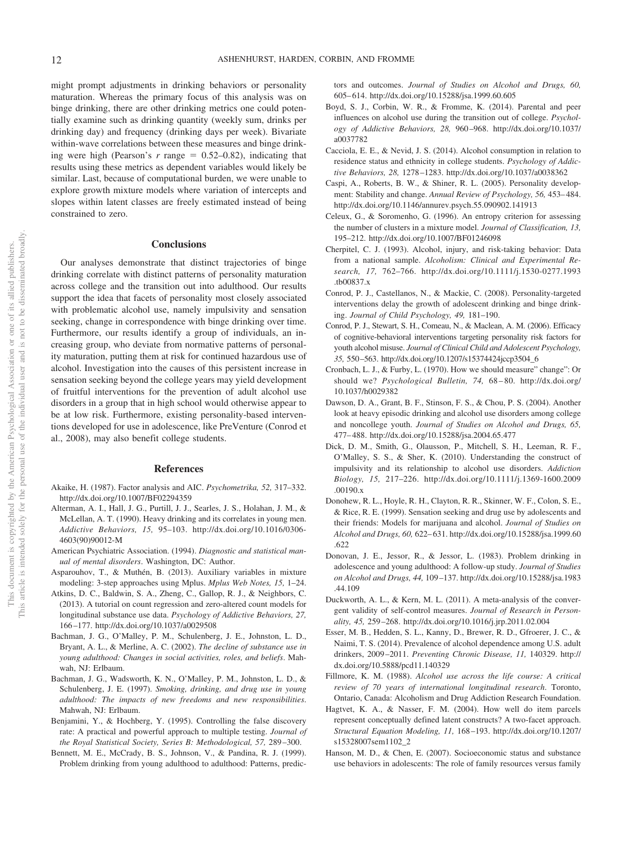might prompt adjustments in drinking behaviors or personality maturation. Whereas the primary focus of this analysis was on binge drinking, there are other drinking metrics one could potentially examine such as drinking quantity (weekly sum, drinks per drinking day) and frequency (drinking days per week). Bivariate within-wave correlations between these measures and binge drinking were high (Pearson's  $r$  range  $= 0.52{\text -}0.82$ ), indicating that results using these metrics as dependent variables would likely be similar. Last, because of computational burden, we were unable to explore growth mixture models where variation of intercepts and slopes within latent classes are freely estimated instead of being constrained to zero.

#### **Conclusions**

Our analyses demonstrate that distinct trajectories of binge drinking correlate with distinct patterns of personality maturation across college and the transition out into adulthood. Our results support the idea that facets of personality most closely associated with problematic alcohol use, namely impulsivity and sensation seeking, change in correspondence with binge drinking over time. Furthermore, our results identify a group of individuals, an increasing group, who deviate from normative patterns of personality maturation, putting them at risk for continued hazardous use of alcohol. Investigation into the causes of this persistent increase in sensation seeking beyond the college years may yield development of fruitful interventions for the prevention of adult alcohol use disorders in a group that in high school would otherwise appear to be at low risk. Furthermore, existing personality-based interventions developed for use in adolescence, like PreVenture (Conrod et al., 2008), may also benefit college students.

#### **References**

- Akaike, H. (1987). Factor analysis and AIC. *Psychometrika, 52,* 317–332. http://dx.doi.org/10.1007/BF02294359
- Alterman, A. I., Hall, J. G., Purtill, J. J., Searles, J. S., Holahan, J. M., & McLellan, A. T. (1990). Heavy drinking and its correlates in young men. *Addictive Behaviors, 15,* 95–103. http://dx.doi.org/10.1016/0306- 4603(90)90012-M
- American Psychiatric Association. (1994). *Diagnostic and statistical manual of mental disorders*. Washington, DC: Author.
- Asparouhov, T., & Muthén, B. (2013). Auxiliary variables in mixture modeling: 3-step approaches using Mplus. *Mplus Web Notes, 15,* 1–24.
- Atkins, D. C., Baldwin, S. A., Zheng, C., Gallop, R. J., & Neighbors, C. (2013). A tutorial on count regression and zero-altered count models for longitudinal substance use data. *Psychology of Addictive Behaviors, 27,* 166 –177. http://dx.doi.org/10.1037/a0029508
- Bachman, J. G., O'Malley, P. M., Schulenberg, J. E., Johnston, L. D., Bryant, A. L., & Merline, A. C. (2002). *The decline of substance use in young adulthood: Changes in social activities, roles, and beliefs*. Mahwah, NJ: Erlbaum.
- Bachman, J. G., Wadsworth, K. N., O'Malley, P. M., Johnston, L. D., & Schulenberg, J. E. (1997). *Smoking, drinking, and drug use in young adulthood: The impacts of new freedoms and new responsibilities*. Mahwah, NJ: Erlbaum.
- Benjamini, Y., & Hochberg, Y. (1995). Controlling the false discovery rate: A practical and powerful approach to multiple testing. *Journal of the Royal Statistical Society, Series B: Methodological, 57,* 289 –300.
- Bennett, M. E., McCrady, B. S., Johnson, V., & Pandina, R. J. (1999). Problem drinking from young adulthood to adulthood: Patterns, predic-

tors and outcomes. *Journal of Studies on Alcohol and Drugs, 60,* 605– 614. http://dx.doi.org/10.15288/jsa.1999.60.605

- Boyd, S. J., Corbin, W. R., & Fromme, K. (2014). Parental and peer influences on alcohol use during the transition out of college. *Psychology of Addictive Behaviors, 28,* 960 –968. http://dx.doi.org/10.1037/ a0037782
- Cacciola, E. E., & Nevid, J. S. (2014). Alcohol consumption in relation to residence status and ethnicity in college students. *Psychology of Addictive Behaviors, 28,* 1278 –1283. http://dx.doi.org/10.1037/a0038362
- Caspi, A., Roberts, B. W., & Shiner, R. L. (2005). Personality development: Stability and change. *Annual Review of Psychology, 56,* 453– 484. http://dx.doi.org/10.1146/annurev.psych.55.090902.141913
- Celeux, G., & Soromenho, G. (1996). An entropy criterion for assessing the number of clusters in a mixture model. *Journal of Classification, 13,* 195–212. http://dx.doi.org/10.1007/BF01246098
- Cherpitel, C. J. (1993). Alcohol, injury, and risk-taking behavior: Data from a national sample. *Alcoholism: Clinical and Experimental Research, 17,* 762–766. http://dx.doi.org/10.1111/j.1530-0277.1993 .tb00837.x
- Conrod, P. J., Castellanos, N., & Mackie, C. (2008). Personality-targeted interventions delay the growth of adolescent drinking and binge drinking. *Journal of Child Psychology, 49,* 181–190.
- Conrod, P. J., Stewart, S. H., Comeau, N., & Maclean, A. M. (2006). Efficacy of cognitive-behavioral interventions targeting personality risk factors for youth alcohol misuse. *Journal of Clinical Child and Adolescent Psychology, 35,* 550 –563. http://dx.doi.org/10.1207/s15374424jccp3504\_6
- Cronbach, L. J., & Furby, L. (1970). How we should measure" change": Or should we? *Psychological Bulletin, 74,* 68 – 80. http://dx.doi.org/ 10.1037/h0029382
- Dawson, D. A., Grant, B. F., Stinson, F. S., & Chou, P. S. (2004). Another look at heavy episodic drinking and alcohol use disorders among college and noncollege youth. *Journal of Studies on Alcohol and Drugs, 65,* 477– 488. http://dx.doi.org/10.15288/jsa.2004.65.477
- Dick, D. M., Smith, G., Olausson, P., Mitchell, S. H., Leeman, R. F., O'Malley, S. S., & Sher, K. (2010). Understanding the construct of impulsivity and its relationship to alcohol use disorders. *Addiction Biology, 15,* 217–226. http://dx.doi.org/10.1111/j.1369-1600.2009 .00190.x
- Donohew, R. L., Hoyle, R. H., Clayton, R. R., Skinner, W. F., Colon, S. E., & Rice, R. E. (1999). Sensation seeking and drug use by adolescents and their friends: Models for marijuana and alcohol. *Journal of Studies on Alcohol and Drugs, 60,* 622– 631. http://dx.doi.org/10.15288/jsa.1999.60 .622
- Donovan, J. E., Jessor, R., & Jessor, L. (1983). Problem drinking in adolescence and young adulthood: A follow-up study. *Journal of Studies on Alcohol and Drugs, 44,* 109 –137. http://dx.doi.org/10.15288/jsa.1983 .44.109
- Duckworth, A. L., & Kern, M. L. (2011). A meta-analysis of the convergent validity of self-control measures. *Journal of Research in Personality, 45,* 259 –268. http://dx.doi.org/10.1016/j.jrp.2011.02.004
- Esser, M. B., Hedden, S. L., Kanny, D., Brewer, R. D., Gfroerer, J. C., & Naimi, T. S. (2014). Prevalence of alcohol dependence among U.S. adult drinkers, 2009 –2011. *Preventing Chronic Disease, 11,* 140329. http:// dx.doi.org/10.5888/pcd11.140329
- Fillmore, K. M. (1988). *Alcohol use across the life course: A critical review of 70 years of international longitudinal research*. Toronto, Ontario, Canada: Alcoholism and Drug Addiction Research Foundation.
- Hagtvet, K. A., & Nasser, F. M. (2004). How well do item parcels represent conceptually defined latent constructs? A two-facet approach. *Structural Equation Modeling, 11,* 168 –193. http://dx.doi.org/10.1207/ s15328007sem1102\_2
- Hanson, M. D., & Chen, E. (2007). Socioeconomic status and substance use behaviors in adolescents: The role of family resources versus family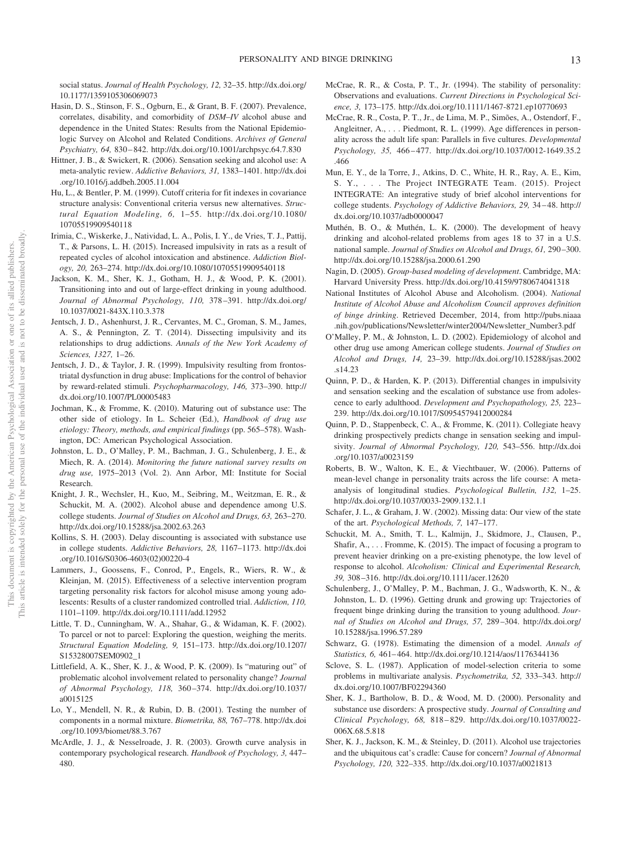social status. *Journal of Health Psychology, 12,* 32–35. http://dx.doi.org/ 10.1177/1359105306069073

- Hasin, D. S., Stinson, F. S., Ogburn, E., & Grant, B. F. (2007). Prevalence, correlates, disability, and comorbidity of *DSM–IV* alcohol abuse and dependence in the United States: Results from the National Epidemiologic Survey on Alcohol and Related Conditions. *Archives of General Psychiatry, 64,* 830 – 842. http://dx.doi.org/10.1001/archpsyc.64.7.830
- Hittner, J. B., & Swickert, R. (2006). Sensation seeking and alcohol use: A meta-analytic review. *Addictive Behaviors, 31,* 1383–1401. http://dx.doi .org/10.1016/j.addbeh.2005.11.004
- Hu, L., & Bentler, P. M. (1999). Cutoff criteria for fit indexes in covariance structure analysis: Conventional criteria versus new alternatives. *Structural Equation Modeling, 6,* 1–55. http://dx.doi.org/10.1080/ 10705519909540118
- Irimia, C., Wiskerke, J., Natividad, L. A., Polis, I. Y., de Vries, T. J., Pattij, T., & Parsons, L. H. (2015). Increased impulsivity in rats as a result of repeated cycles of alcohol intoxication and abstinence. *Addiction Biology, 20,* 263–274. http://dx.doi.org/10.1080/10705519909540118
- Jackson, K. M., Sher, K. J., Gotham, H. J., & Wood, P. K. (2001). Transitioning into and out of large-effect drinking in young adulthood. *Journal of Abnormal Psychology, 110,* 378 –391. http://dx.doi.org/ 10.1037/0021-843X.110.3.378
- Jentsch, J. D., Ashenhurst, J. R., Cervantes, M. C., Groman, S. M., James, A. S., & Pennington, Z. T. (2014). Dissecting impulsivity and its relationships to drug addictions. *Annals of the New York Academy of Sciences, 1327,* 1–26.
- Jentsch, J. D., & Taylor, J. R. (1999). Impulsivity resulting from frontostriatal dysfunction in drug abuse: Implications for the control of behavior by reward-related stimuli. *Psychopharmacology, 146,* 373–390. http:// dx.doi.org/10.1007/PL00005483
- Jochman, K., & Fromme, K. (2010). Maturing out of substance use: The other side of etiology. In L. Scheier (Ed.), *Handbook of drug use etiology: Theory, methods, and empirical findings* (pp. 565–578). Washington, DC: American Psychological Association.
- Johnston, L. D., O'Malley, P. M., Bachman, J. G., Schulenberg, J. E., & Miech, R. A. (2014). *Monitoring the future national survey results on drug use,* 1975–2013 (Vol. 2). Ann Arbor, MI: Institute for Social Research.
- Knight, J. R., Wechsler, H., Kuo, M., Seibring, M., Weitzman, E. R., & Schuckit, M. A. (2002). Alcohol abuse and dependence among U.S. college students. *Journal of Studies on Alcohol and Drugs, 63,* 263–270. http://dx.doi.org/10.15288/jsa.2002.63.263
- Kollins, S. H. (2003). Delay discounting is associated with substance use in college students. *Addictive Behaviors, 28,* 1167–1173. http://dx.doi .org/10.1016/S0306-4603(02)00220-4
- Lammers, J., Goossens, F., Conrod, P., Engels, R., Wiers, R. W., & Kleinjan, M. (2015). Effectiveness of a selective intervention program targeting personality risk factors for alcohol misuse among young adolescents: Results of a cluster randomized controlled trial. *Addiction, 110,* 1101–1109. http://dx.doi.org/10.1111/add.12952
- Little, T. D., Cunningham, W. A., Shahar, G., & Widaman, K. F. (2002). To parcel or not to parcel: Exploring the question, weighing the merits. *Structural Equation Modeling, 9,* 151–173. http://dx.doi.org/10.1207/ S15328007SEM0902\_1
- Littlefield, A. K., Sher, K. J., & Wood, P. K. (2009). Is "maturing out" of problematic alcohol involvement related to personality change? *Journal of Abnormal Psychology, 118,* 360 –374. http://dx.doi.org/10.1037/ a0015125
- Lo, Y., Mendell, N. R., & Rubin, D. B. (2001). Testing the number of components in a normal mixture. *Biometrika, 88,* 767–778. http://dx.doi .org/10.1093/biomet/88.3.767
- McArdle, J. J., & Nesselroade, J. R. (2003). Growth curve analysis in contemporary psychological research. *Handbook of Psychology, 3,* 447– 480.
- McCrae, R. R., & Costa, P. T., Jr. (1994). The stability of personality: Observations and evaluations. *Current Directions in Psychological Science, 3,* 173–175. http://dx.doi.org/10.1111/1467-8721.ep10770693
- McCrae, R. R., Costa, P. T., Jr., de Lima, M. P., Simões, A., Ostendorf, F., Angleitner, A., ... Piedmont, R. L. (1999). Age differences in personality across the adult life span: Parallels in five cultures. *Developmental Psychology, 35,* 466 – 477. http://dx.doi.org/10.1037/0012-1649.35.2 .466
- Mun, E. Y., de la Torre, J., Atkins, D. C., White, H. R., Ray, A. E., Kim, S. Y., . . . The Project INTEGRATE Team. (2015). Project INTEGRATE: An integrative study of brief alcohol interventions for college students. *Psychology of Addictive Behaviors, 29,* 34 – 48. http:// dx.doi.org/10.1037/adb0000047
- Muthén, B. O., & Muthén, L. K. (2000). The development of heavy drinking and alcohol-related problems from ages 18 to 37 in a U.S. national sample. *Journal of Studies on Alcohol and Drugs, 61,* 290 –300. http://dx.doi.org/10.15288/jsa.2000.61.290
- Nagin, D. (2005). *Group-based modeling of development*. Cambridge, MA: Harvard University Press. http://dx.doi.org/10.4159/9780674041318
- National Institutes of Alcohol Abuse and Alcoholism. (2004). *National Institute of Alcohol Abuse and Alcoholism Council approves definition of binge drinking*. Retrieved December, 2014, from http://pubs.niaaa .nih.gov/publications/Newsletter/winter2004/Newsletter\_Number3.pdf
- O'Malley, P. M., & Johnston, L. D. (2002). Epidemiology of alcohol and other drug use among American college students. *Journal of Studies on Alcohol and Drugs, 14,* 23–39. http://dx.doi.org/10.15288/jsas.2002 .s14.23
- Quinn, P. D., & Harden, K. P. (2013). Differential changes in impulsivity and sensation seeking and the escalation of substance use from adolescence to early adulthood. *Development and Psychopathology, 25,* 223– 239. http://dx.doi.org/10.1017/S0954579412000284
- Quinn, P. D., Stappenbeck, C. A., & Fromme, K. (2011). Collegiate heavy drinking prospectively predicts change in sensation seeking and impulsivity. *Journal of Abnormal Psychology, 120,* 543–556. http://dx.doi .org/10.1037/a0023159
- Roberts, B. W., Walton, K. E., & Viechtbauer, W. (2006). Patterns of mean-level change in personality traits across the life course: A metaanalysis of longitudinal studies. *Psychological Bulletin, 132,* 1–25. http://dx.doi.org/10.1037/0033-2909.132.1.1
- Schafer, J. L., & Graham, J. W. (2002). Missing data: Our view of the state of the art. *Psychological Methods, 7,* 147–177.
- Schuckit, M. A., Smith, T. L., Kalmijn, J., Skidmore, J., Clausen, P., Shafir, A.,... Fromme, K. (2015). The impact of focusing a program to prevent heavier drinking on a pre-existing phenotype, the low level of response to alcohol. *Alcoholism: Clinical and Experimental Research, 39,* 308 –316. http://dx.doi.org/10.1111/acer.12620
- Schulenberg, J., O'Malley, P. M., Bachman, J. G., Wadsworth, K. N., & Johnston, L. D. (1996). Getting drunk and growing up: Trajectories of frequent binge drinking during the transition to young adulthood. *Journal of Studies on Alcohol and Drugs, 57,* 289 –304. http://dx.doi.org/ 10.15288/jsa.1996.57.289
- Schwarz, G. (1978). Estimating the dimension of a model. *Annals of Statistics, 6,* 461– 464. http://dx.doi.org/10.1214/aos/1176344136
- Sclove, S. L. (1987). Application of model-selection criteria to some problems in multivariate analysis. *Psychometrika, 52,* 333–343. http:// dx.doi.org/10.1007/BF02294360
- Sher, K. J., Bartholow, B. D., & Wood, M. D. (2000). Personality and substance use disorders: A prospective study. *Journal of Consulting and Clinical Psychology, 68,* 818 – 829. http://dx.doi.org/10.1037/0022- 006X.68.5.818
- Sher, K. J., Jackson, K. M., & Steinley, D. (2011). Alcohol use trajectories and the ubiquitous cat's cradle: Cause for concern? *Journal of Abnormal Psychology, 120,* 322–335. http://dx.doi.org/10.1037/a0021813